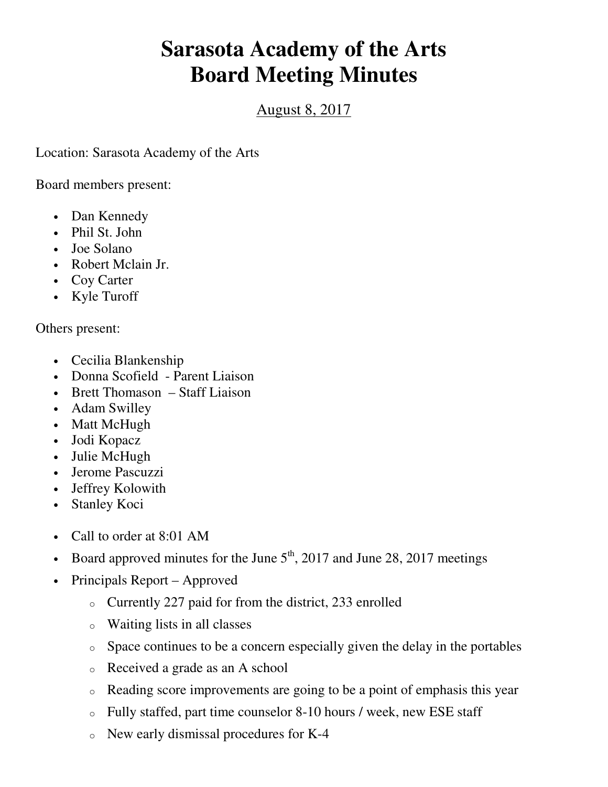## **Sarasota Academy of the Arts Board Meeting Minutes**

## August 8, 2017

Location: Sarasota Academy of the Arts

Board members present:

- Dan Kennedy
- Phil St. John
- Joe Solano
- Robert Mclain Jr.
- Coy Carter
- Kyle Turoff

Others present:

- Cecilia Blankenship
- Donna Scofield Parent Liaison
- Brett Thomason Staff Liaison
- Adam Swilley
- Matt McHugh
- Jodi Kopacz
- Julie McHugh
- Jerome Pascuzzi
- Jeffrey Kolowith
- Stanley Koci
- Call to order at 8:01 AM
- Board approved minutes for the June  $5<sup>th</sup>$ , 2017 and June 28, 2017 meetings
- Principals Report Approved
	- o Currently 227 paid for from the district, 233 enrolled
	- o Waiting lists in all classes
	- o Space continues to be a concern especially given the delay in the portables
	- o Received a grade as an A school
	- o Reading score improvements are going to be a point of emphasis this year
	- o Fully staffed, part time counselor 8-10 hours / week, new ESE staff
	- o New early dismissal procedures for K-4